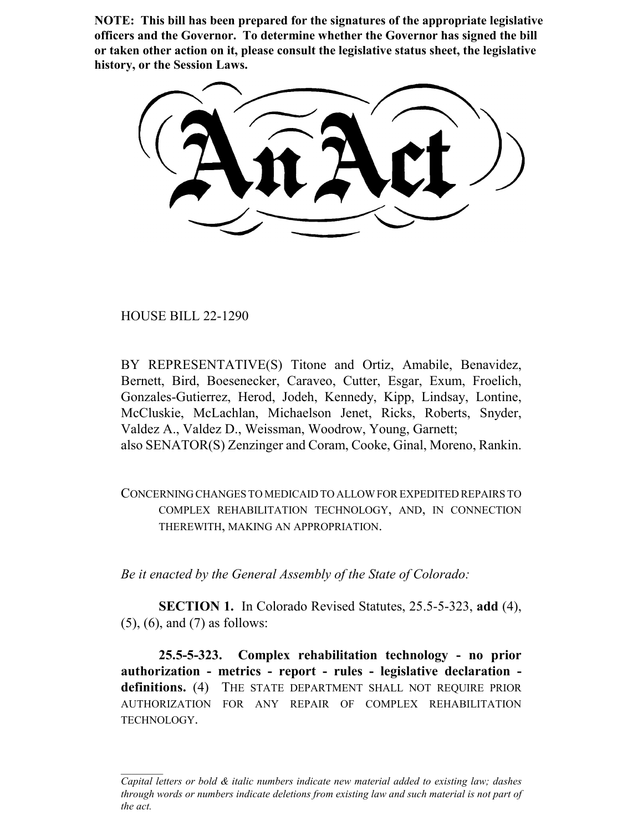**NOTE: This bill has been prepared for the signatures of the appropriate legislative officers and the Governor. To determine whether the Governor has signed the bill or taken other action on it, please consult the legislative status sheet, the legislative history, or the Session Laws.**

HOUSE BILL 22-1290

BY REPRESENTATIVE(S) Titone and Ortiz, Amabile, Benavidez, Bernett, Bird, Boesenecker, Caraveo, Cutter, Esgar, Exum, Froelich, Gonzales-Gutierrez, Herod, Jodeh, Kennedy, Kipp, Lindsay, Lontine, McCluskie, McLachlan, Michaelson Jenet, Ricks, Roberts, Snyder, Valdez A., Valdez D., Weissman, Woodrow, Young, Garnett; also SENATOR(S) Zenzinger and Coram, Cooke, Ginal, Moreno, Rankin.

CONCERNING CHANGES TO MEDICAID TO ALLOW FOR EXPEDITED REPAIRS TO COMPLEX REHABILITATION TECHNOLOGY, AND, IN CONNECTION THEREWITH, MAKING AN APPROPRIATION.

*Be it enacted by the General Assembly of the State of Colorado:*

**SECTION 1.** In Colorado Revised Statutes, 25.5-5-323, **add** (4), (5), (6), and (7) as follows:

**25.5-5-323. Complex rehabilitation technology - no prior authorization - metrics - report - rules - legislative declaration definitions.** (4) THE STATE DEPARTMENT SHALL NOT REQUIRE PRIOR AUTHORIZATION FOR ANY REPAIR OF COMPLEX REHABILITATION TECHNOLOGY.

*Capital letters or bold & italic numbers indicate new material added to existing law; dashes through words or numbers indicate deletions from existing law and such material is not part of the act.*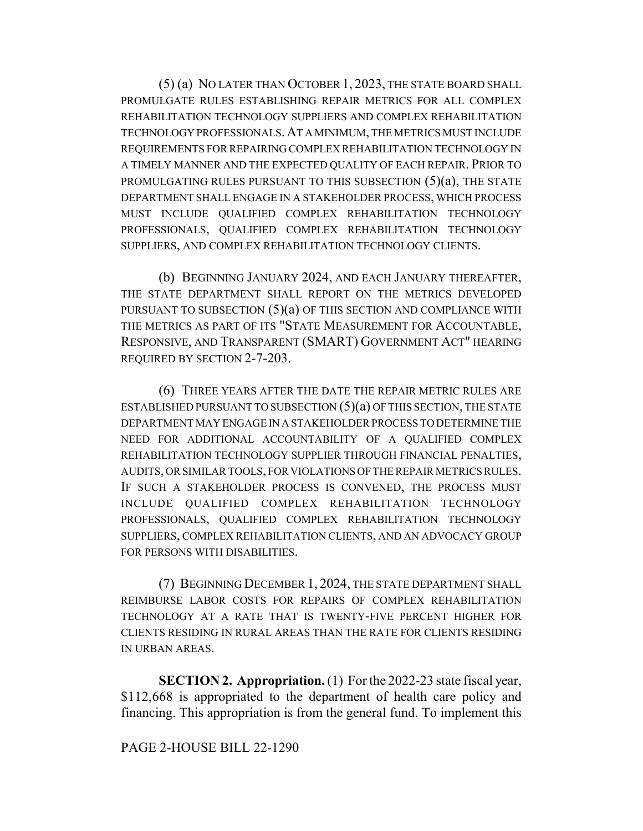(5) (a) NO LATER THAN OCTOBER 1, 2023, THE STATE BOARD SHALL PROMULGATE RULES ESTABLISHING REPAIR METRICS FOR ALL COMPLEX REHABILITATION TECHNOLOGY SUPPLIERS AND COMPLEX REHABILITATION TECHNOLOGY PROFESSIONALS.AT A MINIMUM, THE METRICS MUST INCLUDE REQUIREMENTS FOR REPAIRING COMPLEX REHABILITATION TECHNOLOGY IN A TIMELY MANNER AND THE EXPECTED QUALITY OF EACH REPAIR. PRIOR TO PROMULGATING RULES PURSUANT TO THIS SUBSECTION  $(5)(a)$ , THE STATE DEPARTMENT SHALL ENGAGE IN A STAKEHOLDER PROCESS, WHICH PROCESS MUST INCLUDE QUALIFIED COMPLEX REHABILITATION TECHNOLOGY PROFESSIONALS, QUALIFIED COMPLEX REHABILITATION TECHNOLOGY SUPPLIERS, AND COMPLEX REHABILITATION TECHNOLOGY CLIENTS.

(b) BEGINNING JANUARY 2024, AND EACH JANUARY THEREAFTER, THE STATE DEPARTMENT SHALL REPORT ON THE METRICS DEVELOPED PURSUANT TO SUBSECTION  $(5)(a)$  OF THIS SECTION AND COMPLIANCE WITH THE METRICS AS PART OF ITS "STATE MEASUREMENT FOR ACCOUNTABLE, RESPONSIVE, AND TRANSPARENT (SMART) GOVERNMENT ACT" HEARING REQUIRED BY SECTION 2-7-203.

(6) THREE YEARS AFTER THE DATE THE REPAIR METRIC RULES ARE ESTABLISHED PURSUANT TO SUBSECTION  $(5)(a)$  OF THIS SECTION, THE STATE DEPARTMENT MAY ENGAGE IN A STAKEHOLDER PROCESS TO DETERMINE THE NEED FOR ADDITIONAL ACCOUNTABILITY OF A QUALIFIED COMPLEX REHABILITATION TECHNOLOGY SUPPLIER THROUGH FINANCIAL PENALTIES, AUDITS, OR SIMILAR TOOLS, FOR VIOLATIONS OF THE REPAIR METRICS RULES. IF SUCH A STAKEHOLDER PROCESS IS CONVENED, THE PROCESS MUST INCLUDE QUALIFIED COMPLEX REHABILITATION TECHNOLOGY PROFESSIONALS, QUALIFIED COMPLEX REHABILITATION TECHNOLOGY SUPPLIERS, COMPLEX REHABILITATION CLIENTS, AND AN ADVOCACY GROUP FOR PERSONS WITH DISABILITIES.

(7) BEGINNING DECEMBER 1, 2024, THE STATE DEPARTMENT SHALL REIMBURSE LABOR COSTS FOR REPAIRS OF COMPLEX REHABILITATION TECHNOLOGY AT A RATE THAT IS TWENTY-FIVE PERCENT HIGHER FOR CLIENTS RESIDING IN RURAL AREAS THAN THE RATE FOR CLIENTS RESIDING IN URBAN AREAS.

**SECTION 2. Appropriation.** (1) For the 2022-23 state fiscal year, \$112,668 is appropriated to the department of health care policy and financing. This appropriation is from the general fund. To implement this

## PAGE 2-HOUSE BILL 22-1290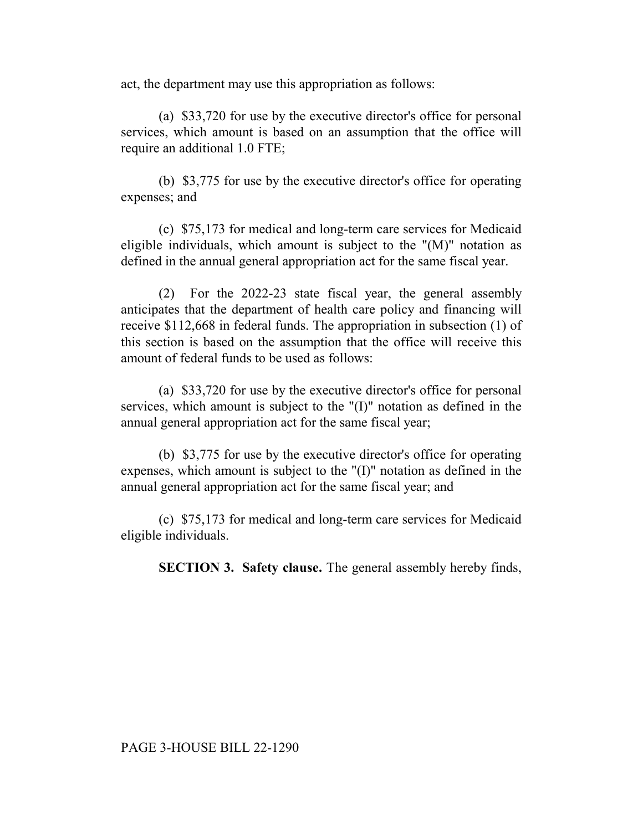act, the department may use this appropriation as follows:

(a) \$33,720 for use by the executive director's office for personal services, which amount is based on an assumption that the office will require an additional 1.0 FTE;

(b) \$3,775 for use by the executive director's office for operating expenses; and

(c) \$75,173 for medical and long-term care services for Medicaid eligible individuals, which amount is subject to the " $(M)$ " notation as defined in the annual general appropriation act for the same fiscal year.

(2) For the 2022-23 state fiscal year, the general assembly anticipates that the department of health care policy and financing will receive \$112,668 in federal funds. The appropriation in subsection (1) of this section is based on the assumption that the office will receive this amount of federal funds to be used as follows:

(a) \$33,720 for use by the executive director's office for personal services, which amount is subject to the "(I)" notation as defined in the annual general appropriation act for the same fiscal year;

(b) \$3,775 for use by the executive director's office for operating expenses, which amount is subject to the "(I)" notation as defined in the annual general appropriation act for the same fiscal year; and

(c) \$75,173 for medical and long-term care services for Medicaid eligible individuals.

**SECTION 3. Safety clause.** The general assembly hereby finds,